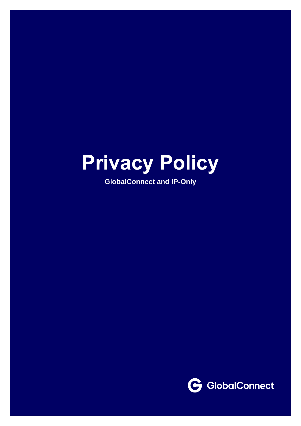# **Privacy Policy**

**GlobalConnect and IP-Only**

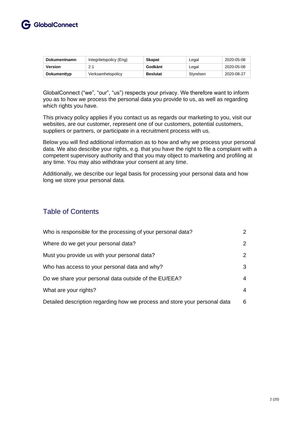

| <b>Dokumentnamn</b> | Integritetspolicy (Eng) | <b>Skapat</b>   | Legal     | 2020-05-08 |
|---------------------|-------------------------|-----------------|-----------|------------|
| Version             | 21                      | Godkänt         | Legal     | 2020-05-08 |
| Dokumenttyp         | Verksamhetspolicy       | <b>Beslutat</b> | Styrelsen | 2020-08-27 |

GlobalConnect ("we", "our", "us") respects your privacy. We therefore want to inform you as to how we process the personal data you provide to us, as well as regarding which rights you have.

This privacy policy applies if you contact us as regards our marketing to you, visit our websites, are our customer, represent one of our customers, potential customers, suppliers or partners, or participate in a recruitment process with us.

Below you will find additional information as to how and why we process your personal data. We also describe your rights, e.g. that you have the right to file a complaint with a competent supervisory authority and that you may object to marketing and profiling at any time. You may also withdraw your consent at any time.

Additionally, we describe our legal basis for processing your personal data and how long we store your personal data.

## Table of Contents

| Who is responsible for the processing of your personal data?               | $\mathcal{P}$ |
|----------------------------------------------------------------------------|---------------|
| Where do we get your personal data?                                        | 2             |
| Must you provide us with your personal data?                               | 2             |
| Who has access to your personal data and why?                              | 3             |
| Do we share your personal data outside of the EU/EEA?                      | 4             |
| What are your rights?                                                      | 4             |
| Detailed description regarding how we process and store your personal data | 6             |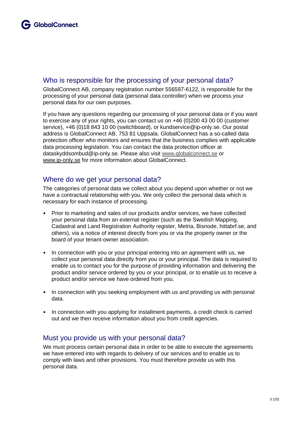#### Who is responsible for the processing of your personal data?

GlobalConnect AB, company registration number 556597-6122, is responsible for the processing of your personal data (personal data controller) when we process your personal data for our own purposes.

If you have any questions regarding our processing of your personal data or if you want to exercise any of your rights, you can contact us on +46 (0)200 43 00 00 (customer service), +46 (0)18 843 10 00 (switchboard), or kundservice@ip-only.se. Our postal address is GlobalConnect AB, 753 81 Uppsala. GlobalConnect has a so-called data protection officer who monitors and ensures that the business complies with applicable data processing legislation. You can contact the data protection officer at dataskyddsombud@ip-only.se. Please also visit [www.globalconnect.se](http://www.globalconnect.se/) or www.ip-only.se for more information about GlobalConnect.

### Where do we get your personal data?

The categories of personal data we collect about you depend upon whether or not we have a contractual relationship with you. We only collect the personal data which is necessary for each instance of processing.

- Prior to marketing and sales of our products and/or services, we have collected your personal data from an external register (such as the Swedish Mapping, Cadastral and Land Registration Authority register, Metria, Bisnode, hittabrf.se, and others), via a notice of interest directly from you or via the property owner or the board of your tenant-owner association.
- In connection with you or your principal entering into an agreement with us, we collect your personal data directly from you or your principal. The data is required to enable us to contact you for the purpose of providing information and delivering the product and/or service ordered by you or your principal, or to enable us to receive a product and/or service we have ordered from you.
- In connection with you seeking employment with us and providing us with personal data.
- In connection with you applying for installment payments, a credit check is carried out and we then receive information about you from credit agencies.

### Must you provide us with your personal data?

We must process certain personal data in order to be able to execute the agreements we have entered into with regards to delivery of our services and to enable us to comply with laws and other provisions. You must therefore provide us with this personal data.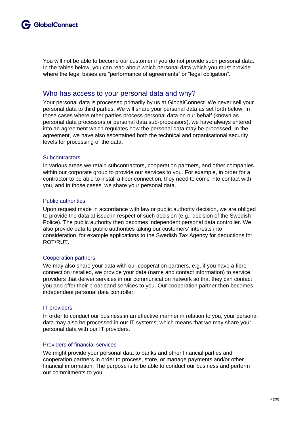You will not be able to become our customer if you do not provide such personal data. In the tables below, you can read about which personal data which you must provide where the legal bases are "performance of agreements" or "legal obligation".

#### Who has access to your personal data and why?

Your personal data is processed primarily by us at GlobalConnect. We never sell your personal data to third parties. We will share your personal data as set forth below. In those cases where other parties process personal data on our behalf (known as personal data processors or personal data sub-processors), we have always entered into an agreement which regulates how the personal data may be processed. In the agreement, we have also ascertained both the technical and organisational security levels for processing of the data.

#### **Subcontractors**

In various areas we retain subcontractors, cooperation partners, and other companies within our corporate group to provide our services to you. For example, in order for a contractor to be able to install a fiber connection, they need to come into contact with you, and in those cases, we share your personal data.

#### Public authorities

Upon request made in accordance with law or public authority decision, we are obliged to provide the data at issue in respect of such decision (e.g., decision of the Swedish Police). The public authority then becomes independent personal data controller. We also provide data to public authorities taking our customers' interests into consideration, for example applications to the Swedish Tax Agency for deductions for ROT/RUT.

#### Cooperation partners

We may also share your data with our cooperation partners, e.g. if you have a fibre connection installed, we provide your data (name and contact information) to service providers that deliver services in our communication network so that they can contact you and offer their broadband services to you. Our cooperation partner then becomes independent personal data controller.

#### IT providers

In order to conduct our business in an effective manner in relation to you, your personal data may also be processed in our IT systems, which means that we may share your personal data with our IT providers.

#### Providers of financial services

We might provide your personal data to banks and other financial parties and cooperation partners in order to process, store, or manage payments and/or other financial information. The purpose is to be able to conduct our business and perform our commitments to you.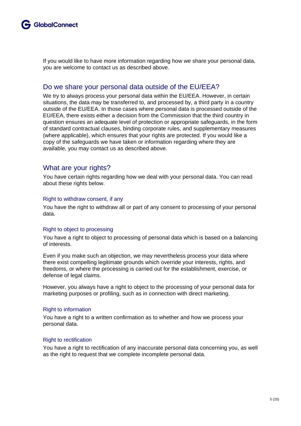If you would like to have more information regarding how we share your personal data, you are welcome to contact us as described above.

#### Do we share your personal data outside of the EU/EEA?

We try to always process your personal data within the EU/EEA. However, in certain situations, the data may be transferred to, and processed by, a third party in a country outside of the EU/EEA. In those cases where personal data is processed outside of the EU/EEA, there exists either a decision from the Commission that the third country in question ensures an adequate level of protection or appropriate safeguards, in the form of standard contractual clauses, binding corporate rules, and supplementary measures (where applicable), which ensures that your rights are protected. If you would like a copy of the safeguards we have taken or information regarding where they are available, you may contact us as described above.

#### What are your rights?

You have certain rights regarding how we deal with your personal data. You can read about these rights below.

#### Right to withdraw consent, if any

You have the right to withdraw all or part of any consent to processing of your personal data.

#### Right to object to processing

You have a right to object to processing of personal data which is based on a balancing of interests.

Even if you make such an objection, we may nevertheless process your data where there exist compelling legitimate grounds which override your interests, rights, and freedoms, or where the processing is carried out for the establishment, exercise, or defense of legal claims.

However, you always have a right to object to the processing of your personal data for marketing purposes or profiling, such as in connection with direct marketing.

#### Right to information

You have a right to a written confirmation as to whether and how we process your personal data.

#### Right to rectification

You have a right to rectification of any inaccurate personal data concerning you, as well as the right to request that we complete incomplete personal data.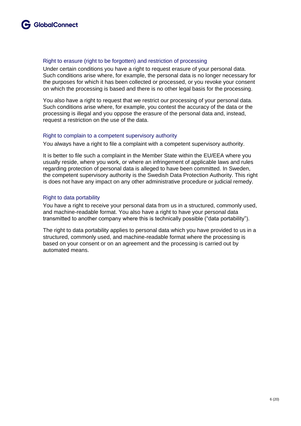#### Right to erasure (right to be forgotten) and restriction of processing

Under certain conditions you have a right to request erasure of your personal data. Such conditions arise where, for example, the personal data is no longer necessary for the purposes for which it has been collected or processed, or you revoke your consent on which the processing is based and there is no other legal basis for the processing.

You also have a right to request that we restrict our processing of your personal data. Such conditions arise where, for example, you contest the accuracy of the data or the processing is illegal and you oppose the erasure of the personal data and, instead, request a restriction on the use of the data.

#### Right to complain to a competent supervisory authority

You always have a right to file a complaint with a competent supervisory authority.

It is better to file such a complaint in the Member State within the EU/EEA where you usually reside, where you work, or where an infringement of applicable laws and rules regarding protection of personal data is alleged to have been committed. In Sweden, the competent supervisory authority is the Swedish Data Protection Authority. This right is does not have any impact on any other administrative procedure or judicial remedy.

#### Right to data portability

You have a right to receive your personal data from us in a structured, commonly used, and machine-readable format. You also have a right to have your personal data transmitted to another company where this is technically possible ("data portability").

The right to data portability applies to personal data which you have provided to us in a structured, commonly used, and machine-readable format where the processing is based on your consent or on an agreement and the processing is carried out by automated means.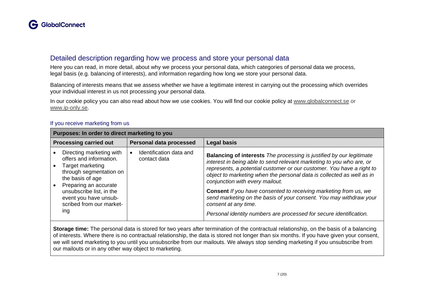#### Detailed description regarding how we process and store your personal data

Here you can read, in more detail, about why we process your personal data, which categories of personal data we process, legal basis (e.g. balancing of interests), and information regarding how long we store your personal data.

Balancing of interests means that we assess whether we have a legitimate interest in carrying out the processing which overrides your individual interest in us not processing your personal data.

In our cookie policy you can also read about how we use cookies. You will find our cookie policy at [www.globalconnect.se](http://www.globalconnect.se/) or www.ip-only.se.

| Purposes: In order to direct marketing to you                                                                                                                                                                                           |                                         |                                                                                                                                                                                                                                                                                                                                                                                                                                                                                                                                                                                         |
|-----------------------------------------------------------------------------------------------------------------------------------------------------------------------------------------------------------------------------------------|-----------------------------------------|-----------------------------------------------------------------------------------------------------------------------------------------------------------------------------------------------------------------------------------------------------------------------------------------------------------------------------------------------------------------------------------------------------------------------------------------------------------------------------------------------------------------------------------------------------------------------------------------|
| <b>Processing carried out</b>                                                                                                                                                                                                           | <b>Personal data processed</b>          | <b>Legal basis</b>                                                                                                                                                                                                                                                                                                                                                                                                                                                                                                                                                                      |
| Directing marketing with<br>offers and information.<br>Target marketing<br>through segmentation on<br>the basis of age<br>Preparing an accurate<br>unsubscribe list, in the<br>event you have unsub-<br>scribed from our market-<br>ing | Identification data and<br>contact data | <b>Balancing of interests</b> The processing is justified by our legitimate<br>interest in being able to send relevant marketing to you who are, or<br>represents, a potential customer or our customer. You have a right to<br>object to marketing when the personal data is collected as well as in<br>conjunction with every mailout.<br><b>Consent</b> If you have consented to receiving marketing from us, we<br>send marketing on the basis of your consent. You may withdraw your<br>consent at any time.<br>Personal identity numbers are processed for secure identification. |

#### If you receive marketing from us

**Storage time:** The personal data is stored for two years after termination of the contractual relationship, on the basis of a balancing of interests. Where there is no contractual relationship, the data is stored not longer than six months. If you have given your consent, we will send marketing to you until you unsubscribe from our mailouts. We always stop sending marketing if you unsubscribe from our mailouts or in any other way object to marketing.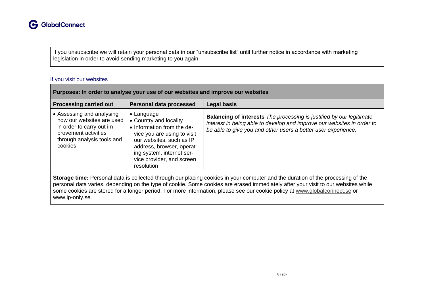If you unsubscribe we will retain your personal data in our "unsubscribe list" until further notice in accordance with marketing legislation in order to avoid sending marketing to you again.

#### If you visit our websites

| Purposes: In order to analyse your use of our websites and improve our websites                                                                                                                                                                                                                                                                                                                                       |                                                                                                                                                                                                                                            |                                                                                                                                                                                                                        |  |
|-----------------------------------------------------------------------------------------------------------------------------------------------------------------------------------------------------------------------------------------------------------------------------------------------------------------------------------------------------------------------------------------------------------------------|--------------------------------------------------------------------------------------------------------------------------------------------------------------------------------------------------------------------------------------------|------------------------------------------------------------------------------------------------------------------------------------------------------------------------------------------------------------------------|--|
| <b>Processing carried out</b>                                                                                                                                                                                                                                                                                                                                                                                         | Personal data processed                                                                                                                                                                                                                    | <b>Legal basis</b>                                                                                                                                                                                                     |  |
| • Assessing and analysing<br>how our websites are used<br>in order to carry out im-<br>provement activities<br>through analysis tools and<br>cookies                                                                                                                                                                                                                                                                  | $\bullet$ Language<br>• Country and locality<br>• Information from the de-<br>vice you are using to visit<br>our websites, such as IP<br>address, browser, operat-<br>ing system, internet ser-<br>vice provider, and screen<br>resolution | <b>Balancing of interests</b> The processing is justified by our legitimate<br>interest in being able to develop and improve our websites in order to<br>be able to give you and other users a better user experience. |  |
| Storage time: Personal data is collected through our placing cookies in your computer and the duration of the processing of the<br>personal data varies, depending on the type of cookie. Some cookies are erased immediately after your visit to our websites while<br>some cookies are stored for a longer period. For more information, please see our cookie policy at www.globalconnect.se or<br>www.ip-only.se. |                                                                                                                                                                                                                                            |                                                                                                                                                                                                                        |  |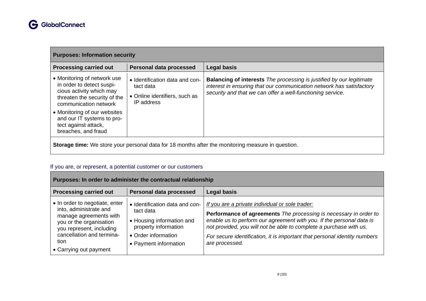| <b>Purposes: Information security</b>                                                                                                         |                                                                                            |                                                                                                                                                                                                                   |
|-----------------------------------------------------------------------------------------------------------------------------------------------|--------------------------------------------------------------------------------------------|-------------------------------------------------------------------------------------------------------------------------------------------------------------------------------------------------------------------|
| <b>Processing carried out</b>                                                                                                                 | Personal data processed                                                                    | <b>Legal basis</b>                                                                                                                                                                                                |
| • Monitoring of network use<br>in order to detect suspi-<br>cious activity which may<br>threaten the security of the<br>communication network | • Identification data and con-<br>tact data<br>• Online identifiers, such as<br>IP address | <b>Balancing of interests</b> The processing is justified by our legitimate<br>interest in ensuring that our communication network has satisfactory<br>security and that we can offer a well-functioning service. |
| • Monitoring of our websites<br>and our IT systems to pro-<br>tect against attack,<br>breaches, and fraud                                     |                                                                                            |                                                                                                                                                                                                                   |
| <b>Storage time:</b> We store your personal data for 18 months after the monitoring measure in question.                                      |                                                                                            |                                                                                                                                                                                                                   |

# If you are, or represent, a potential customer or our customers

| Purposes: In order to administer the contractual relationship                                                                                                                                            |                                                                                                                                                  |                                                                                                                                                                                                                                                                                                                                                                   |  |
|----------------------------------------------------------------------------------------------------------------------------------------------------------------------------------------------------------|--------------------------------------------------------------------------------------------------------------------------------------------------|-------------------------------------------------------------------------------------------------------------------------------------------------------------------------------------------------------------------------------------------------------------------------------------------------------------------------------------------------------------------|--|
| <b>Processing carried out</b>                                                                                                                                                                            | <b>Personal data processed</b>                                                                                                                   | <b>Legal basis</b>                                                                                                                                                                                                                                                                                                                                                |  |
| • In order to negotiate, enter<br>into, administrate and<br>manage agreements with<br>you or the organisation<br>you represent, including<br>cancellation and termina-<br>tion<br>• Carrying out payment | • Identification data and con-<br>tact data<br>• Housing information and<br>property information<br>• Order information<br>• Payment information | If you are a private individual or sole trader:<br>Performance of agreements The processing is necessary in order to<br>enable us to perform our agreement with you. If the personal data is<br>not provided, you will not be able to complete a purchase with us.<br>For secure identification, it is important that personal identity numbers<br>are processed. |  |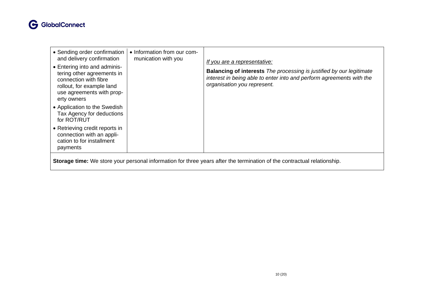

| • Sending order confirmation<br>and delivery confirmation<br>• Entering into and adminis-<br>tering other agreements in<br>connection with fibre<br>rollout, for example land<br>use agreements with prop-<br>erty owners | • Information from our com-<br>munication with you | If you are a representative:<br><b>Balancing of interests</b> The processing is justified by our legitimate<br>interest in being able to enter into and perform agreements with the<br>organisation you represent. |
|---------------------------------------------------------------------------------------------------------------------------------------------------------------------------------------------------------------------------|----------------------------------------------------|--------------------------------------------------------------------------------------------------------------------------------------------------------------------------------------------------------------------|
| • Application to the Swedish<br>Tax Agency for deductions<br>for ROT/RUT                                                                                                                                                  |                                                    |                                                                                                                                                                                                                    |
| • Retrieving credit reports in<br>connection with an appli-<br>cation to for installment<br>payments                                                                                                                      |                                                    |                                                                                                                                                                                                                    |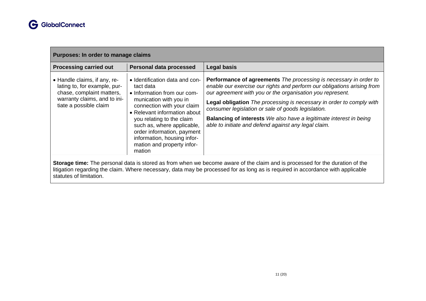| Purposes: In order to manage claims                                                                                                                 |                                                                                                                                                                                                                                                                                                                                    |                                                                                                                                                                                                                                                                                                                                                                                                                                                                              |  |
|-----------------------------------------------------------------------------------------------------------------------------------------------------|------------------------------------------------------------------------------------------------------------------------------------------------------------------------------------------------------------------------------------------------------------------------------------------------------------------------------------|------------------------------------------------------------------------------------------------------------------------------------------------------------------------------------------------------------------------------------------------------------------------------------------------------------------------------------------------------------------------------------------------------------------------------------------------------------------------------|--|
| <b>Processing carried out</b>                                                                                                                       | <b>Personal data processed</b>                                                                                                                                                                                                                                                                                                     | <b>Legal basis</b>                                                                                                                                                                                                                                                                                                                                                                                                                                                           |  |
| • Handle claims, if any, re-<br>lating to, for example, pur-<br>chase, complaint matters,<br>warranty claims, and to ini-<br>tiate a possible claim | • Identification data and con-<br>tact data<br>• Information from our com-<br>munication with you in<br>connection with your claim<br>• Relevant information about<br>you relating to the claim<br>such as, where applicable,<br>order information, payment<br>information, housing infor-<br>mation and property infor-<br>mation | Performance of agreements The processing is necessary in order to<br>enable our exercise our rights and perform our obligations arising from<br>our agreement with you or the organisation you represent.<br>Legal obligation The processing is necessary in order to comply with<br>consumer legislation or sale of goods legislation.<br><b>Balancing of interests</b> We also have a legitimate interest in being<br>able to initiate and defend against any legal claim. |  |

**Storage time:** The personal data is stored as from when we become aware of the claim and is processed for the duration of the litigation regarding the claim. Where necessary, data may be processed for as long as is required in accordance with applicable statutes of limitation.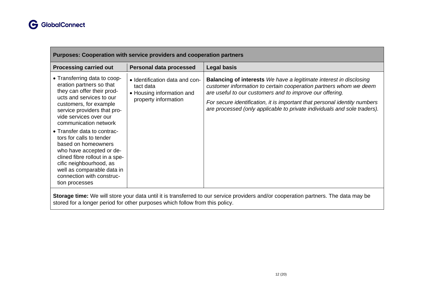| <b>Purposes: Cooperation with service providers and cooperation partners</b>                                                                                                                                                                                                                                                                                                                                                                                                           |                                                                                                  |                                                                                                                                                                                                                                                                                                                                                                     |
|----------------------------------------------------------------------------------------------------------------------------------------------------------------------------------------------------------------------------------------------------------------------------------------------------------------------------------------------------------------------------------------------------------------------------------------------------------------------------------------|--------------------------------------------------------------------------------------------------|---------------------------------------------------------------------------------------------------------------------------------------------------------------------------------------------------------------------------------------------------------------------------------------------------------------------------------------------------------------------|
| <b>Processing carried out</b>                                                                                                                                                                                                                                                                                                                                                                                                                                                          | Personal data processed                                                                          | <b>Legal basis</b>                                                                                                                                                                                                                                                                                                                                                  |
| • Transferring data to coop-<br>eration partners so that<br>they can offer their prod-<br>ucts and services to our<br>customers, for example<br>service providers that pro-<br>vide services over our<br>communication network<br>• Transfer data to contrac-<br>tors for calls to tender<br>based on homeowners<br>who have accepted or de-<br>clined fibre rollout in a spe-<br>cific neighbourhood, as<br>well as comparable data in<br>connection with construc-<br>tion processes | • Identification data and con-<br>tact data<br>• Housing information and<br>property information | <b>Balancing of interests</b> We have a legitimate interest in disclosing<br>customer information to certain cooperation partners whom we deem<br>are useful to our customers and to improve our offering.<br>For secure identification, it is important that personal identity numbers<br>are processed (only applicable to private individuals and sole traders). |
|                                                                                                                                                                                                                                                                                                                                                                                                                                                                                        |                                                                                                  |                                                                                                                                                                                                                                                                                                                                                                     |

**Storage time:** We will store your data until it is transferred to our service providers and/or cooperation partners. The data may be stored for a longer period for other purposes which follow from this policy.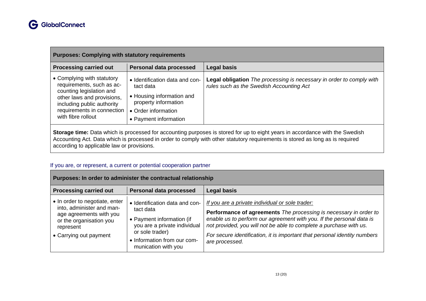| <b>Purposes: Complying with statutory requirements</b>                                                                                                                                              |                                                                                                                                                  |                                                                                                                              |  |
|-----------------------------------------------------------------------------------------------------------------------------------------------------------------------------------------------------|--------------------------------------------------------------------------------------------------------------------------------------------------|------------------------------------------------------------------------------------------------------------------------------|--|
| <b>Processing carried out</b>                                                                                                                                                                       | Personal data processed                                                                                                                          | <b>Legal basis</b>                                                                                                           |  |
| • Complying with statutory<br>requirements, such as ac-<br>counting legislation and<br>other laws and provisions,<br>including public authority<br>requirements in connection<br>with fibre rollout | • Identification data and con-<br>tact data<br>• Housing information and<br>property information<br>• Order information<br>• Payment information | <b>Legal obligation</b> The processing is necessary in order to comply with<br>rules such as the Swedish Accounting Act      |  |
|                                                                                                                                                                                                     |                                                                                                                                                  | Storage time: Data which is processed for accounting purposes is stored for up to eight years in accordance with the Swedish |  |

**Storage time:** Data which is processed for accounting purposes is stored for up to eight years in accordance with the Swedish Accounting Act. Data which is processed in order to comply with other statutory requirements is stored as long as is required according to applicable law or provisions.

#### If you are, or represent, a current or potential cooperation partner

| Purposes: In order to administer the contractual relationship                                                                                            |                                                                                                                                                                                   |                                                                                                                                                                                                                                                                                                                                                                   |  |
|----------------------------------------------------------------------------------------------------------------------------------------------------------|-----------------------------------------------------------------------------------------------------------------------------------------------------------------------------------|-------------------------------------------------------------------------------------------------------------------------------------------------------------------------------------------------------------------------------------------------------------------------------------------------------------------------------------------------------------------|--|
| <b>Processing carried out</b>                                                                                                                            | <b>Personal data processed</b>                                                                                                                                                    | <b>Legal basis</b>                                                                                                                                                                                                                                                                                                                                                |  |
| • In order to negotiate, enter<br>into, administer and man-<br>age agreements with you<br>or the organisation you<br>represent<br>• Carrying out payment | • Identification data and con-<br>tact data<br>• Payment information (if<br>you are a private individual<br>or sole trader)<br>• Information from our com-<br>munication with you | If you are a private individual or sole trader:<br>Performance of agreements The processing is necessary in order to<br>enable us to perform our agreement with you. If the personal data is<br>not provided, you will not be able to complete a purchase with us.<br>For secure identification, it is important that personal identity numbers<br>are processed. |  |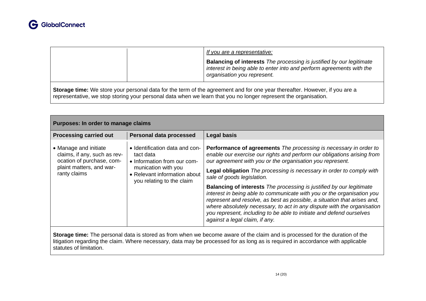|  | If you are a representative:                                                                                                                                                       |
|--|------------------------------------------------------------------------------------------------------------------------------------------------------------------------------------|
|  | <b>Balancing of interests</b> The processing is justified by our legitimate<br>interest in being able to enter into and perform agreements with the<br>organisation you represent. |
|  |                                                                                                                                                                                    |

**Storage time:** We store your personal data for the term of the agreement and for one year thereafter. However, if you are a representative, we stop storing your personal data when we learn that you no longer represent the organisation.

| Purposes: In order to manage claims                                                                                            |                                                                                                                                                                |                                                                                                                                                                                                                                                                                                                                                                                                                                                                                                                                                                                                                                                                                                                                                  |  |
|--------------------------------------------------------------------------------------------------------------------------------|----------------------------------------------------------------------------------------------------------------------------------------------------------------|--------------------------------------------------------------------------------------------------------------------------------------------------------------------------------------------------------------------------------------------------------------------------------------------------------------------------------------------------------------------------------------------------------------------------------------------------------------------------------------------------------------------------------------------------------------------------------------------------------------------------------------------------------------------------------------------------------------------------------------------------|--|
| <b>Processing carried out</b>                                                                                                  | <b>Personal data processed</b>                                                                                                                                 | <b>Legal basis</b>                                                                                                                                                                                                                                                                                                                                                                                                                                                                                                                                                                                                                                                                                                                               |  |
| • Manage and initiate<br>claims, if any, such as rev-<br>ocation of purchase, com-<br>plaint matters, and war-<br>ranty claims | • Identification data and con-<br>tact data<br>• Information from our com-<br>munication with you<br>• Relevant information about<br>you relating to the claim | <b>Performance of agreements</b> The processing is necessary in order to<br>enable our exercise our rights and perform our obligations arising from<br>our agreement with you or the organisation you represent.<br>Legal obligation The processing is necessary in order to comply with<br>sale of goods legislation.<br><b>Balancing of interests</b> The processing is justified by our legitimate<br>interest in being able to communicate with you or the organisation you<br>represent and resolve, as best as possible, a situation that arises and,<br>where absolutely necessary, to act in any dispute with the organisation<br>you represent, including to be able to initiate and defend ourselves<br>against a legal claim, if any. |  |
|                                                                                                                                |                                                                                                                                                                |                                                                                                                                                                                                                                                                                                                                                                                                                                                                                                                                                                                                                                                                                                                                                  |  |

**Storage time:** The personal data is stored as from when we become aware of the claim and is processed for the duration of the litigation regarding the claim. Where necessary, data may be processed for as long as is required in accordance with applicable statutes of limitation.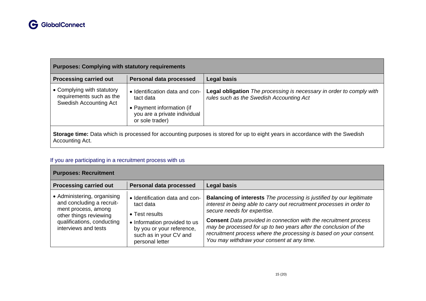| <b>Purposes: Complying with statutory requirements</b>                           |                                                                                                                             |                                                                                                                              |
|----------------------------------------------------------------------------------|-----------------------------------------------------------------------------------------------------------------------------|------------------------------------------------------------------------------------------------------------------------------|
| <b>Processing carried out</b>                                                    | Personal data processed                                                                                                     | <b>Legal basis</b>                                                                                                           |
| • Complying with statutory<br>requirements such as the<br>Swedish Accounting Act | • Identification data and con-<br>tact data<br>• Payment information (if<br>you are a private individual<br>or sole trader) | Legal obligation The processing is necessary in order to comply with<br>rules such as the Swedish Accounting Act             |
| Accounting Act.                                                                  |                                                                                                                             | Storage time: Data which is processed for accounting purposes is stored for up to eight years in accordance with the Swedish |

# If you are participating in a recruitment process with us

| <b>Purposes: Recruitment</b>                                                                                                                                    |                                                                                                                                                                         |                                                                                                                                                                                                                                                                                                                                                                                                                                                        |
|-----------------------------------------------------------------------------------------------------------------------------------------------------------------|-------------------------------------------------------------------------------------------------------------------------------------------------------------------------|--------------------------------------------------------------------------------------------------------------------------------------------------------------------------------------------------------------------------------------------------------------------------------------------------------------------------------------------------------------------------------------------------------------------------------------------------------|
| <b>Processing carried out</b>                                                                                                                                   | Personal data processed                                                                                                                                                 | <b>Legal basis</b>                                                                                                                                                                                                                                                                                                                                                                                                                                     |
| • Administering, organising<br>and concluding a recruit-<br>ment process, among<br>other things reviewing<br>qualifications, conducting<br>interviews and tests | • Identification data and con-<br>tact data<br>• Test results<br>• Information provided to us<br>by you or your reference,<br>such as in your CV and<br>personal letter | <b>Balancing of interests</b> The processing is justified by our legitimate<br>interest in being able to carry out recruitment processes in order to<br>secure needs for expertise.<br><b>Consent</b> Data provided in connection with the recruitment process<br>may be processed for up to two years after the conclusion of the<br>recruitment process where the processing is based on your consent.<br>You may withdraw your consent at any time. |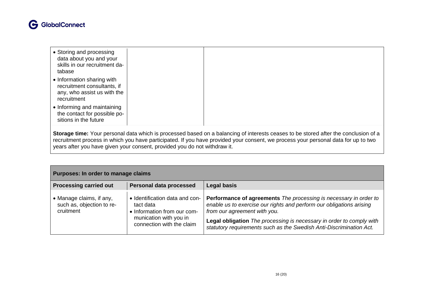# **G** GlobalConnect

- Storing and processing data about you and your skills in our recruitment database
- Information sharing with recruitment consultants, if any, who assist us with the recruitment
- Informing and maintaining the contact for possible positions in the future

**Storage time:** Your personal data which is processed based on a balancing of interests ceases to be stored after the conclusion of a recruitment process in which you have participated. If you have provided your consent, we process your personal data for up to two years after you have given your consent, provided you do not withdraw it.

| Purposes: In order to manage claims                                |                                                                                                                                   |                                                                                                                                                                                                                                                                                                                          |
|--------------------------------------------------------------------|-----------------------------------------------------------------------------------------------------------------------------------|--------------------------------------------------------------------------------------------------------------------------------------------------------------------------------------------------------------------------------------------------------------------------------------------------------------------------|
| <b>Processing carried out</b>                                      | <b>Personal data processed</b>                                                                                                    | <b>Legal basis</b>                                                                                                                                                                                                                                                                                                       |
| • Manage claims, if any,<br>such as, objection to re-<br>cruitment | • Identification data and con-<br>tact data<br>• Information from our com-<br>munication with you in<br>connection with the claim | Performance of agreements The processing is necessary in order to<br>enable us to exercise our rights and perform our obligations arising<br>from our agreement with you.<br>Legal obligation The processing is necessary in order to comply with<br>statutory requirements such as the Swedish Anti-Discrimination Act. |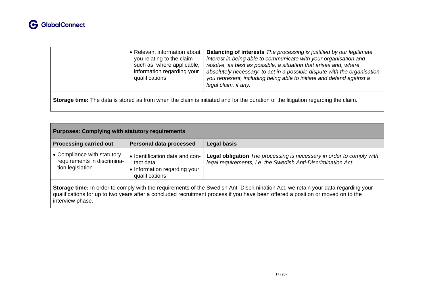

|  | • Relevant information about<br>you relating to the claim<br>such as, where applicable,<br>information regarding your<br>qualifications | <b>Balancing of interests</b> The processing is justified by our legitimate<br>interest in being able to communicate with your organisation and<br>resolve, as best as possible, a situation that arises and, where<br>absolutely necessary, to act in a possible dispute with the organisation<br>you represent, including being able to initiate and defend against a<br>legal claim, if any. |
|--|-----------------------------------------------------------------------------------------------------------------------------------------|-------------------------------------------------------------------------------------------------------------------------------------------------------------------------------------------------------------------------------------------------------------------------------------------------------------------------------------------------------------------------------------------------|
|--|-----------------------------------------------------------------------------------------------------------------------------------------|-------------------------------------------------------------------------------------------------------------------------------------------------------------------------------------------------------------------------------------------------------------------------------------------------------------------------------------------------------------------------------------------------|

**Storage time:** The data is stored as from when the claim is initiated and for the duration of the litigation regarding the claim.

| <b>Purposes: Complying with statutory requirements</b>                                                                                                                                                                                                                                   |                                                                                               |                                                                                                                                       |
|------------------------------------------------------------------------------------------------------------------------------------------------------------------------------------------------------------------------------------------------------------------------------------------|-----------------------------------------------------------------------------------------------|---------------------------------------------------------------------------------------------------------------------------------------|
| <b>Processing carried out</b>                                                                                                                                                                                                                                                            | <b>Personal data processed</b>                                                                | Legal basis                                                                                                                           |
| • Compliance with statutory<br>requirements in discrimina-<br>tion legislation                                                                                                                                                                                                           | • Identification data and con-<br>tact data<br>• Information regarding your<br>qualifications | Legal obligation The processing is necessary in order to comply with<br>legal requirements, i.e. the Swedish Anti-Discrimination Act. |
| Storage time: In order to comply with the requirements of the Swedish Anti-Discrimination Act, we retain your data regarding your<br>qualifications for up to two years after a concluded recruitment process if you have been offered a position or moved on to the<br>interview phase. |                                                                                               |                                                                                                                                       |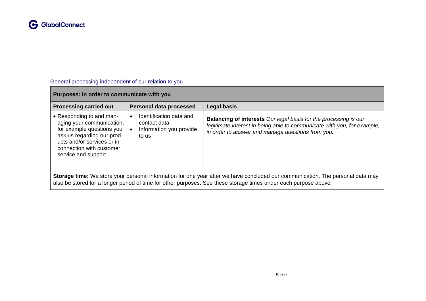

#### General processing independent of our relation to you

# **Purposes: In order to communicate with you**

| <b>Processing carried out</b>                                                                                                                                                                                                                      | Personal data processed                                                     | <b>Legal basis</b>                                                                                                                                                                                      |  |
|----------------------------------------------------------------------------------------------------------------------------------------------------------------------------------------------------------------------------------------------------|-----------------------------------------------------------------------------|---------------------------------------------------------------------------------------------------------------------------------------------------------------------------------------------------------|--|
| • Responding to and man-<br>aging your communication,<br>for example questions you<br>ask us regarding our prod-<br>ucts and/or services or in<br>connection with customer<br>service and support                                                  | Identification data and<br>contact data<br>Information you provide<br>to us | <b>Balancing of interests</b> Our legal basis for the processing is our<br>legitimate interest in being able to communicate with you, for example,<br>in order to answer and manage questions from you. |  |
| Storage time: We store your personal information for one year after we have concluded our communication. The personal data may<br>also be stored for a longer period of time for other purposes. See these storage times under each purpose above. |                                                                             |                                                                                                                                                                                                         |  |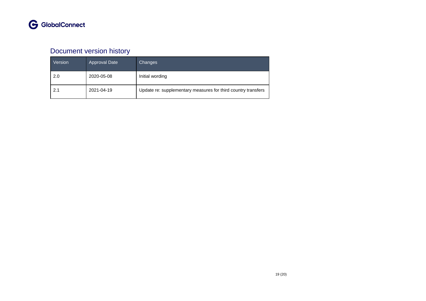# Document version history

| Version | <b>Approval Date</b> | Changes                                                       |
|---------|----------------------|---------------------------------------------------------------|
| 2.0     | 2020-05-08           | Initial wording                                               |
| 2.1     | 2021-04-19           | Update re: supplementary measures for third country transfers |